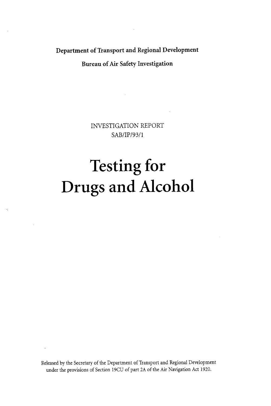**Department of Transport and Regional Development** 

**Bureau of Air Safety Investigation** 

INVESTIGATION REPORT SAB/IP/93/1

# Testing **for**  Drugs and Alcohol

 $\widehat{\phantom{a}}$ 

Released by the Secretary of the Department of Transport and Regional Development under the provisions of Section 19CU of part **2A** of the Air Navigation Act 1920.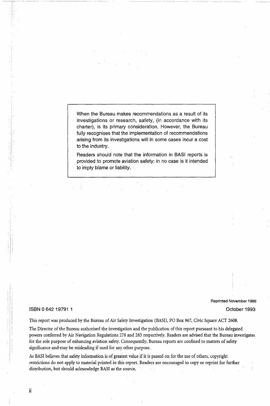When the Bureau makes recommendations as a result of its investigations or research, safety, (in accordance with its charter), is its primary consideration. However, the Bureau fully recognises that the implementation of recommendations arising from its investigations will in some cases incur a cost to the industry.

Readers should note that the information in **BAS1** reports is provided to promote aviation safety: in no case is it intended to imply blame or liability.

#### ISBN *0* **642** 19791 1

**Reprinted November 1998** 

October 1993

This report was produced by the Bureau of Air Safety Investigation (BASI), PO Box 967, Civic Square ACT 2608.

The Director of the Bureau authorised the investigation and the publication of this report pursuant to his delegated powers conferred by Air Navigation Regulations 278 and 283 respectively. Readers are advised that the Bureau investigates for the sole purpose of enhancing aviation safety. Consequently, Bureau reports are confined to matters of safety significance and-may be misleading if used for any other purpose.

**As** BASI believes that safety information is of greatest value if it is passed on for the use of others, copyright restrictions do not apply to material printed in this report. Readers are encouraged to copy or reprint for further distribution, but should acknowledge BASI as the source.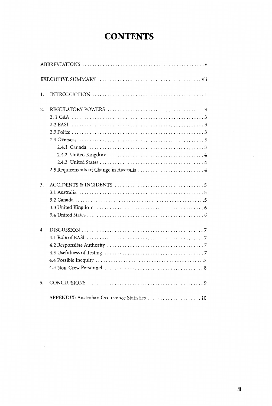### **CONTENTS**

| 1. |                                                |
|----|------------------------------------------------|
| 2. |                                                |
|    |                                                |
|    |                                                |
|    |                                                |
|    |                                                |
|    |                                                |
|    |                                                |
|    |                                                |
|    | 2.5 Requirements of Change in Australia  4     |
|    |                                                |
| 3. |                                                |
|    |                                                |
|    |                                                |
|    |                                                |
|    |                                                |
| 4. |                                                |
|    |                                                |
|    |                                                |
|    |                                                |
|    |                                                |
|    |                                                |
| 5. |                                                |
|    | APPENDIX: Australian Occurrence Statistics  10 |

 $\ddot{\phantom{a}}$ 

 $\mathcal{L}^{\text{max}}_{\text{max}}$ 

 $\overline{a}$ 

 $\bar{\epsilon}$ 

 $\bar{z}$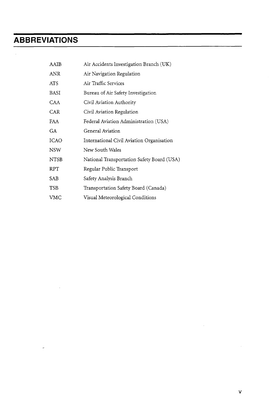### **ABBREVIATIONS**

 $\sim$   $\omega$ 

 $\sim$ 

 $\mathbf{r}$ 

| AAIB        | Air Accidents Investigation Branch (UK)    |  |  |  |
|-------------|--------------------------------------------|--|--|--|
| <b>ANR</b>  | Air Navigation Regulation                  |  |  |  |
| ATS         | Air Traffic Services                       |  |  |  |
| <b>BASI</b> | Bureau of Air Safety Investigation         |  |  |  |
| CAA         | Civil Aviation Authority                   |  |  |  |
| CAR         | Civil Aviation Regulation                  |  |  |  |
| FAA         | Federal Aviation Administration (USA)      |  |  |  |
| GA          | General Aviation                           |  |  |  |
| <b>ICAO</b> | International Civil Aviation Organisation  |  |  |  |
| <b>NSW</b>  | New South Wales                            |  |  |  |
| <b>NTSB</b> | National Transportation Safety Board (USA) |  |  |  |
| <b>RPT</b>  | Regular Public Transport                   |  |  |  |
| SAB         | Safety Analysis Branch                     |  |  |  |
| <b>TSB</b>  | Transportation Safety Board (Canada)       |  |  |  |
| VMC         | Visual Meteorological Conditions           |  |  |  |

 $\mathcal{A}^{\mathcal{A}}$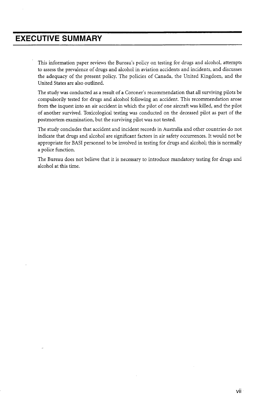### **EXECUTIVE SUMMARY**

This information paper reviews the Bureau's policy on testing for drugs and alcohol, attempts to assess the prevalence of drugs and alcohol in aviation accidents and incidents, and discusses the adequacy of the present policy. The policies of Canada, the United Kingdom, and the United States are also outlined.

The study was conducted as a result of a Coroner's recommendation that all surviving pilots be compulsorily tested for drugs and alcohol following an accident. This recommendation arose from the inquest into an air accident in which the pilot of one aircraft was killed, and the pilot of another survived. Toxicological testing was conducted on the deceased pilot as part of the postmortem examination, but the surviving pilot was not tested.

The study concludes that accident and incident records in Australia and other countries do not indicate that drugs and alcohol are significant factors in air safety occurrences. It would not be appropriate for BAS1 personnel to be involved in testing for drugs and alcohol; this is normally a police function.

The Bureau does not believe that it is necessary to introduce mandatory testing for drugs and alcohol at this time.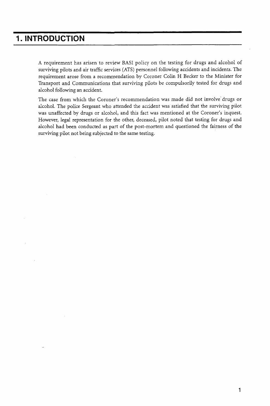### **1. INTRODUCTION**

**A** requirement has arisen to review BAS1 policy on the testing for drugs and alcohol of surviving pilots and air traffic services (ATS) personnel following accidents and incidents. The requirement arose from a recommendation by Coroner Colin H Becker to the Minister for Transport and Communications that surviving pilots be compulsorily tested for drugs and alcohol following an accident.

The case from which the Coroner's recommendation was made did not involve' drugs or alcohol. The police Sergeant who attended the accident was satisfied that the surviving pilot was unaffected by drugs or alcohol, and this fact was mentioned at the Coroner's inquest. However, legal representation for the other, deceased, pilot noted that testing for drugs and alcohol had been conducted as part of the post-mortem and questioned the fairness of the surviving pilot not being subjected to the same testing.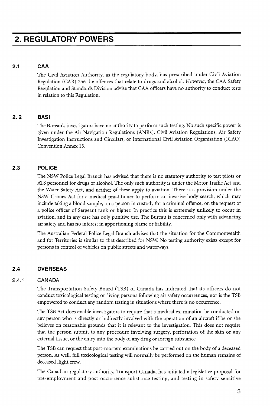### **2. REGULATORY POWERS**

#### **2.1 CAA**

The Civil Aviation Authority, as the regulatory body, has prescribed under Civil Aviation Regulation (CAR) 256 the offences that relate to drugs and alcohol. However, the CAA Safety Regulation and Standards Division advise that CAA officers have no authority to conduct tests in relation to this Regulation.

### *2.2* **BAS1**

The Bureau's investigators have no authority to perform such testing. No such specific power is given under the Air Navigation Regulations (ANRs), Civil Aviation Regulations, Air Safety Investigation Instructions and Circulars, or International Civil Aviation Organisation (ICAO) Convention Annex **13.** 

### **2.3 POLICE**

The NSW Police Legal Branch has advised that there is no statutory authority to test pilots or ATS personnel for drugs or alcohol. The only such authority is under the Motor Traffic Act and the Water Safety Act, and neither of these apply to aviation. There is a provision under the NSW Crimes Act for a medical practitioner to perform an invasive body search, which may include taking a blood sample, on a person in custody for a criminal offence, on the request of a police officer of Sergeant rank or higher. In practice this is extremely unlikely to occur in aviation, and in any case has only punitive use. The Bureau is concerned only with advancing air safety and has no interest in apportioning blame or liability.

The Australian Federal Police Legal Branch advises that the situation for the Commonwealth and for Territories is similar to that described for NSW. No testing authority exists except for persons in control of vehicles on public streets and waterways.

#### **2.4 OVERSEAS**

#### **2.4.1 CANADA**

The Transportation Safety Board (TSB) of Canada has indicated that its officers do not conduct toxicological testing on living persons following air safety occurrences, nor is the TSB empowered to conduct any random testing in situations where there is no occurrence.

The TSB Act does enable investigators to require that a medical examination be conducted on any person who is directly or indirectly involved with the operation of an aircraft if he or she believes on reasonable grounds that it is relevant to the investigation. This does not require that the person submit to any procedure involving surgery, perforation of the skin or any external tissue, or the entry into the body of any drug or foreign substance.

The TSB can request that post-mortem examinations be carried out on the body of a deceased person. As well, full toxicological testing will normally be performed on the human remains of deceased flight crew.

The Canadian regulatory authority, Transport Canada, has initiated a legislative proposal for pre-employment and post-occurrence substance testing, and testing in safety-sensitive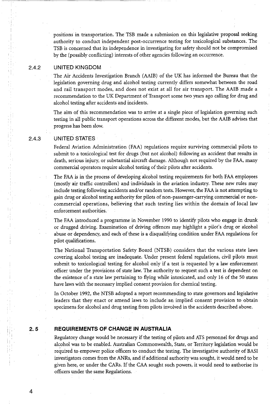positions in transportation. The TSB made a submission on this legislative proposal seeking authority to conduct independent post-occurrence testing for toxicological substances. The TSB is concerned that its independence in investigating for safety should not be compromised by the (possibly conflicting) interests of other agencies following an occurrence.

#### **2.4.2**  UNITED KINGDOM

The Air Accidents Investigation Branch (AAIB) of the UK has informed the Bureau that the legislation governing drug and alcohol testing currently differs somewhat between the road and rail transport modes, and does not exist at all for air transport. The AAIB made a recommendation to the UK Department of Transport some two years ago calling for drug and alcohol testing after accidents and incidents.

The aim of this recommendation was to arrive at a single piece of legislation governing such testing in all public transport operations across the different modes, but the AAIB advises that progress has been slow.

#### **2.4.3**  UNITED STATES

Federal Aviation Administration (FAA) regulations require surviving commercial pilots to submit to a toxicological test for drugs (but not alcohol) following an accident that results in death, serious injury, or substantial aircraft damage. Although not required by the FAA, many commercial operators require alcohol testing of their pilots after accidents.

The FAA is in the process of developing alcohol testing requirements for both FAA employees (mostly air traffic controllers) and individuals in the aviation industry. These new rules may include testing following accidents and/or random tests. However, the FAA is not attempting to gain drug or alcohol testing authority for pilots of non-passenger-carrying commercial or noncommercial operations, believing that such testing lies within the domain of local law enforcement authorities.

The FAA introduced a programme in November 1990 to identify pilots who engage in drunk or drugged driving. Examination of driving offences may highlight a pilot's drug or alcohol abuse or dependency, and each of these is a disqualifying condition under FAA regulations for pilot qualifications.

The National Transportation Safety Board (NTSB) considers that the various state laws covering alcohol testing are inadequate. Under present federal regulations, civil pilots must submit to toxicological testing for alcohol only if a test is requested by a law enforcement officer under the provisions of state law. The authority to request such a test is dependent on the existence of a state law pertaining to flying while intoxicated, and only 16 of the 50 states have laws with the necessary implied consent provision for chemical testing.

In October **1992,** the NTSB adopted a report recommending to state governors and legislative leaders that they enact or amend laws to include an implied consent provision to obtain specimens for alcohol and drug testing from pilots involved in the accidents described above.

#### **2.5 REQUIREMENTS OF CHANGE IN AUSTRALIA**

Regulatory change would be necessary if the testing of pilots and ATS personnel for drugs and alcohol was to be enabled. Australian Commonwealth, State, or Territory legislation would be required to empower police officers to conduct the testing. The investigative authority of BAS1 investigators comes from the ANRs, and if additional authority was sought, it would need to be given here, or under the CARS. If the CAA sought such powers, it would need to authorise its officers under the same Regulations.

**4**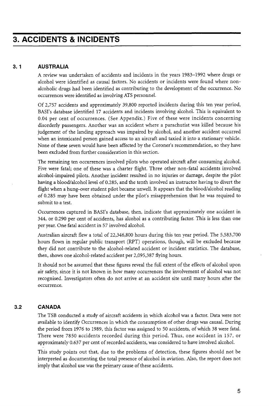#### **3.1 AUSTRALIA**

A review was undertaken of accidents and incidents in the years 1983-1992 where drugs or alcohol were identified as causal factors. No accidents or incidents were found where nonalcoholic drugs had been identified as contributing to the development of the occurrence. No occurrences were identified as involving ATS personnel.

Of 2,757 accidents and approximately 39,800 reported incidents during this ten year period, BASI's database identified 17 accidents and incidents involving alcohol. This is equivalent to 0.04 per cent of occurrences. (See Appendix.) Five of these were incidents concerning disorderly passengers. Another was an accident where a parachutist was killed because his judgement of the landing approach was impaired by alcohol, and another accident occurred when an intoxicated person gained access to an aircraft and taxied it into a stationary vehicle. None of these seven would have been affected by the Coroner's recommendation, so they have been excluded from further consideration in this section.

The remaining ten occurrences involved pilots who operated aircraft after consuming alcohol. Five were fatal; one of these was a charter flight. Three other non-fatal accidents involved alcohol-impaired pilots. Another incident resulted in no injuries or damage, despite the pilot having a blood/alcohol level of 0.285, and the tenth involved an instructor having to divert the flight when a hung-over student pilot became unwell. It appears that the blood/alcohol reading of 0.285 may have been obtained under the pilot's misapprehension that he was required to submit to a test.

Occurrences captured in BASI's database, then, indicate that approximately one accident in 344, or 0.290 per cent of accidents, has alcohol as a contributing factor. This is less than one per year. One fatal accident in 57 involved alcohol.

Australian aircraft flew a total of 22,346,800 hours during this ten year period. The 5,583,700 hours flown in regular public transport (RPT) operations, though, will be excluded because they did not contribute to the alcohol-related accident or incident statistics. The database, then, shows one alcohol-related accident per 2,095,387 flying hours.

It should not be assumed that these figures reveal the full extent of the effects of alcohol upon air safety, since it is not known in how many occurrences the involvement of alcohol was not recognised. Investigators often do not arrive at an accident site until many hours after the occurrence.

#### **3.2 CANADA**

The TSB conducted a study of aircraft accidents in which alcohol was a factor. Data were not available to identify Occurrences in which the consumption of other drugs was causal. During the period from 1976 to 1989, this factor was assigned to 50 accidents, of which 38 were fatal. There were 7850 accidents recorded during this period. Thus, one accident in 157, or approximately 0.637 per cent of recorded accidents, was considered to have involved alcohol.

This study points out that, due to the problems of detection, these figures should not be interpreted as documenting the total presence of alcohol in aviation. Also, the report does not imply that alcohol use was the primary cause of these accidents.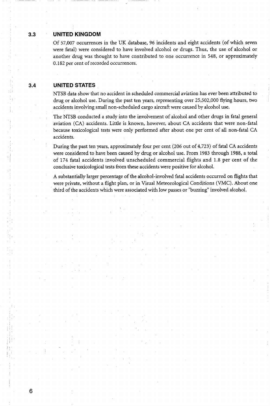#### **3.3 UNITED KINGDOM**

Of 57,007 occurrences in the UK database, **96** incidents and eight accidents (of which seven were fatal) were considered to have involved alcohol or drugs. Thus, the use of alcohol or another drug was thought to have contributed to one occurrence in 548, or approximately 0.182 per cent of recorded occurrences.

#### **3.4 UNITED STATES**

I,

*6* 

NTSB data show that no accident in scheduled commercial aviation has ever been attributed to drug or alcohol use. During the past ten years, representing over 25,502,000 flying hours, two accidents involving small non-scheduled cargo aircraft were caused by alcohol use.

The NTSB conducted a study into the involvement of alcohol and other drugs in fatal general aviation (CA) accidents. Little is known, however, about CA accidents that were non-fatal because toxicological tests were only performed after about one per cent of all non-fatal CA accidents.

During the past ten years, approximately four per cent (206 out of 4,723) of fatal CA accidents were considered to have been caused by drug or alcohol use. From 1983 through **1988,** a total of 174 fatal accidents involved unscheduled commercial flights and 1.8 per cent of the conclusive toxicological tests from these accidents were positive for alcohol.

A substantially larger percentage of the alcohol-involved fatal accidents occurred on flights that were private, without a flight plan, or in Visual Meteorological Conditions (VMC). About one third of the accidents which were associated with low passes or "buzzing" involved alcohol.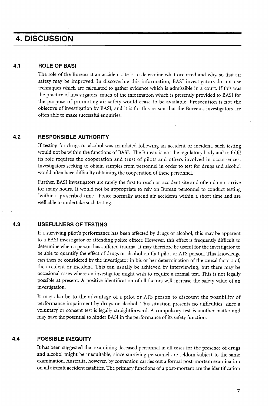### **4. DISCUSSION**

#### **4.1 ROLE OF BAS1**

The role of the Bureau at an accident site is to determine what occurred and why, so that air safety may be improved. In discovering this information, BASI investigators do not use techniques which are calculated to gather evidence which is admissible in a court. If this was the practice of investigators, much of the information which is presently provided to BASI for the purpose of promoting air safety would cease to be available. Prosecution is not the objective of investigation by BASI, and it is for this reason that the Bureau's investigators are often able to make successful enquiries.

#### **4.2 RESPONSIBLE AUTHORITY**

If testing for drugs or alcohol was mandated following an accident or incident, such testing would not be within the functions of BASI. 'The Bureau is not the regulatory body and to fulfil its role requires the cooperation and trust of pilots and others involved in occurrences. Investigators seeking to obtain samples from personnel in order to test for drugs and alcohol would often have difficulty obtaining the cooperation of these personnel.

Further, BASI investigators are rarely the first to reach an accident site and often do not arrive for many hours. It would not be appropriate to rely on Bureau personnel to conduct testing "within a prescribed time". Police normally attend air accidents within a short time and are well able to undertake such testing.

#### **4.3 USEFULNESS OF TESTING**

If a surviving pilot's performance has been affected by drugs or alcohol, this may be apparent to a BASI investigator or attending police officer. However, this effect is frequently difficult to determine when a person has suffered trauma. It may therefore be useful for the investigator to be able to quantify the effect of drugs or alcohol on that pilot or ATS person. This knowledge can then be considered by the investigator in his or her determination of the causal factors of, the accident or incident. This can usually be achieved by interviewing, but there may be occasional cases where an investigator might wish to require a formal test. This is not legally possible at present. A positive identification of **all** factors will increase the safety value of an investigation.

It may also be to the advantage of a pilot or ATS person to discount the possibility of performance impairment by drugs or alcohol. This situation presents no difficulties, since a voluntary or consent test is legally straightforward. A compulsory test is another matter and may have the potential to hinder BASI in the performance of its safety function.

#### **4.4 POSSIBLE INEQUITY**

It has been suggested that examining deceased personnel in all cases for the presence of drugs and alcohol might be inequitable, since surviving personnel are seldom subject to the same examination. Australia, however, by convention carries out a formal post-mortem examination on **all** aircraft accident fatalities. The primary functions of a post-mortem are the identification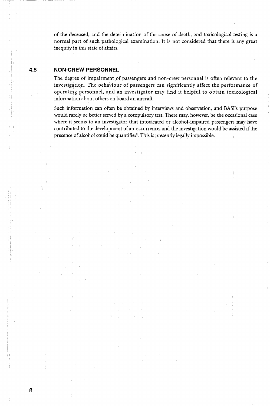of the deceased, and the determination of the cause of death, and toxicological testing is a normal part of such pathological examination. It is not considered that there is any great inequity in this state of affairs.

#### **4.5 NON-CREW PERSONNEL**

*8* 

ly.

The degree of impairment of passengers and non-crew personnel is often relevant to the investigation. The behaviour of passengers can significantly affect the performance of operating personnel, and an investigator may find it helpful to obtain toxicological information about others on board an aircraft.

Such information can often be obtained by interviews and observation, and BASI's purpose would rarely be better served by a compulsory test. There may, however, be the occasional case where it seems to an investigator that intoxicated or alcohol-impaired passengers may have contributed to the development of an occurrence, and the investigation would be assisted if the presence of alcohol could be quantified. This is presently legally impossible.

> ÷.  $\mathcal{L}^{\pm}$

 $\mathcal{L}_{\mathcal{A}}$ 

 $\sim$   $\sim$ 

 $\gamma_1$  ,  $\gamma_2$  ,  $\gamma_3$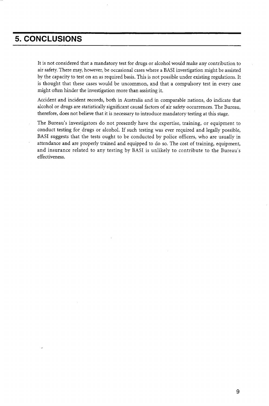### **5. CONCLUSIONS**

It is not considered that a mandatory test for drugs or alcohol would make any contribution to air safety. There may, however, be occasional cases where a BASI investigation might be assisted by the capacity to test on an as required basis. This is not possible under existing regulations. It is thought that these cases would be uncommon, and that a compulsory test in every case might often hinder the investigation more than assisting it.

Accident and incident records, both in Australia and in comparable nations, do indicate that alcohol or drugs are statistically significant causal factors of air safety occurrences. The Bureau, therefore, does not believe that it is necessary to introduce mandatory testing at this stage.

The Bureau's investigators do not presently have the expertise, training, or equipment to conduct testing for drugs or alcohol. If such testing was ever required and legally possible, BASI suggests that the tests ought to be conducted by police officers, who are usually in attendance and are properly trained and equipped to do so. The cost of training, equipment, and insurance related to any testing by BASI is unlikely to contribute to the Bureau's effectiveness.